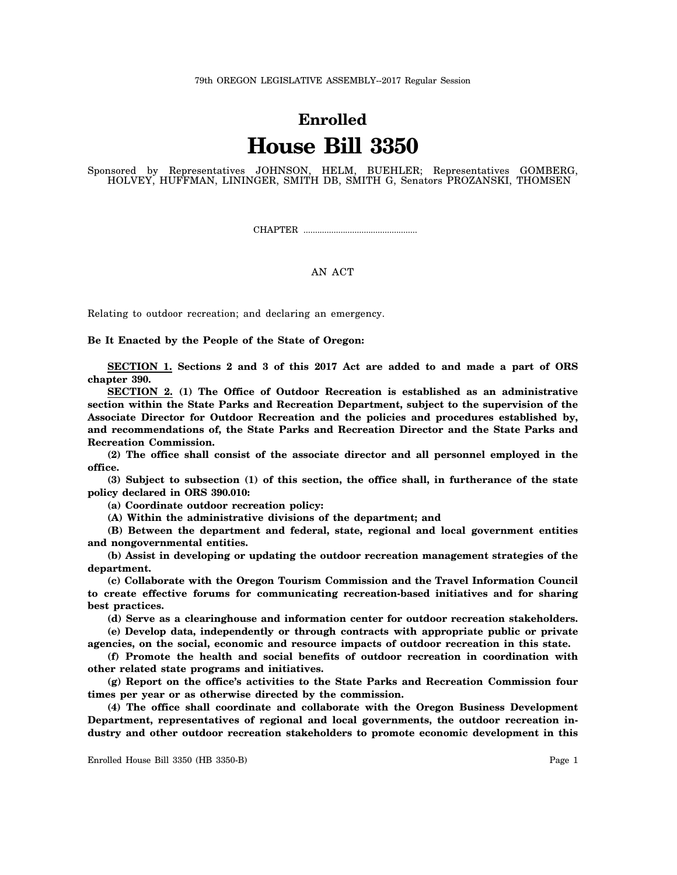## **Enrolled House Bill 3350**

Sponsored by Representatives JOHNSON, HELM, BUEHLER; Representatives GOMBERG, HOLVEY, HUFFMAN, LININGER, SMITH DB, SMITH G, Senators PROZANSKI, THOMSEN

CHAPTER .................................................

## AN ACT

Relating to outdoor recreation; and declaring an emergency.

**Be It Enacted by the People of the State of Oregon:**

**SECTION 1. Sections 2 and 3 of this 2017 Act are added to and made a part of ORS chapter 390.**

**SECTION 2. (1) The Office of Outdoor Recreation is established as an administrative section within the State Parks and Recreation Department, subject to the supervision of the Associate Director for Outdoor Recreation and the policies and procedures established by, and recommendations of, the State Parks and Recreation Director and the State Parks and Recreation Commission.**

**(2) The office shall consist of the associate director and all personnel employed in the office.**

**(3) Subject to subsection (1) of this section, the office shall, in furtherance of the state policy declared in ORS 390.010:**

**(a) Coordinate outdoor recreation policy:**

**(A) Within the administrative divisions of the department; and**

**(B) Between the department and federal, state, regional and local government entities and nongovernmental entities.**

**(b) Assist in developing or updating the outdoor recreation management strategies of the department.**

**(c) Collaborate with the Oregon Tourism Commission and the Travel Information Council to create effective forums for communicating recreation-based initiatives and for sharing best practices.**

**(d) Serve as a clearinghouse and information center for outdoor recreation stakeholders.**

**(e) Develop data, independently or through contracts with appropriate public or private agencies, on the social, economic and resource impacts of outdoor recreation in this state.**

**(f) Promote the health and social benefits of outdoor recreation in coordination with other related state programs and initiatives.**

**(g) Report on the office's activities to the State Parks and Recreation Commission four times per year or as otherwise directed by the commission.**

**(4) The office shall coordinate and collaborate with the Oregon Business Development Department, representatives of regional and local governments, the outdoor recreation industry and other outdoor recreation stakeholders to promote economic development in this**

Enrolled House Bill 3350 (HB 3350-B) Page 1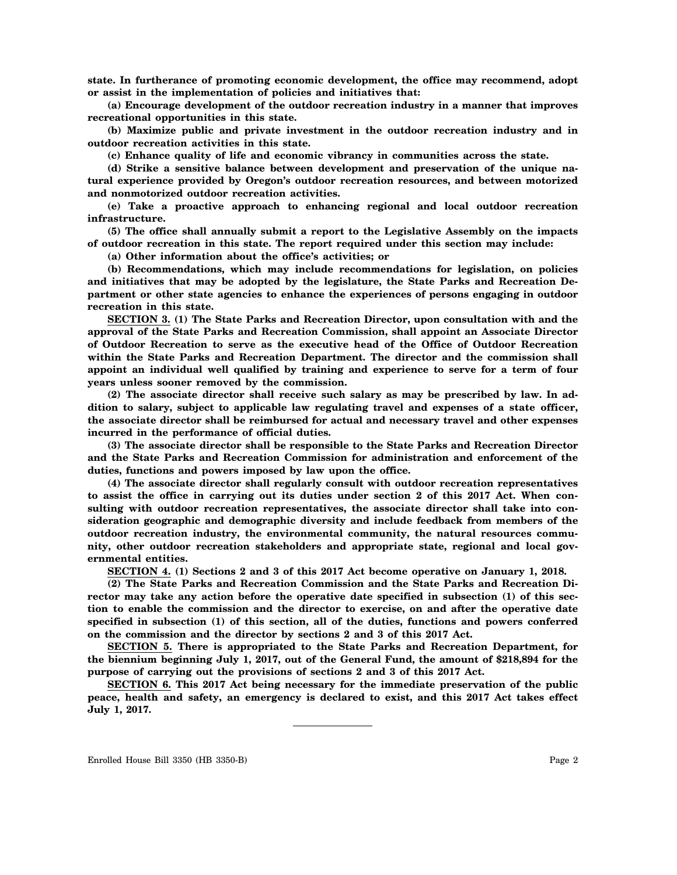**state. In furtherance of promoting economic development, the office may recommend, adopt or assist in the implementation of policies and initiatives that:**

**(a) Encourage development of the outdoor recreation industry in a manner that improves recreational opportunities in this state.**

**(b) Maximize public and private investment in the outdoor recreation industry and in outdoor recreation activities in this state.**

**(c) Enhance quality of life and economic vibrancy in communities across the state.**

**(d) Strike a sensitive balance between development and preservation of the unique natural experience provided by Oregon's outdoor recreation resources, and between motorized and nonmotorized outdoor recreation activities.**

**(e) Take a proactive approach to enhancing regional and local outdoor recreation infrastructure.**

**(5) The office shall annually submit a report to the Legislative Assembly on the impacts of outdoor recreation in this state. The report required under this section may include:**

**(a) Other information about the office's activities; or**

**(b) Recommendations, which may include recommendations for legislation, on policies and initiatives that may be adopted by the legislature, the State Parks and Recreation Department or other state agencies to enhance the experiences of persons engaging in outdoor recreation in this state.**

**SECTION 3. (1) The State Parks and Recreation Director, upon consultation with and the approval of the State Parks and Recreation Commission, shall appoint an Associate Director of Outdoor Recreation to serve as the executive head of the Office of Outdoor Recreation within the State Parks and Recreation Department. The director and the commission shall appoint an individual well qualified by training and experience to serve for a term of four years unless sooner removed by the commission.**

**(2) The associate director shall receive such salary as may be prescribed by law. In addition to salary, subject to applicable law regulating travel and expenses of a state officer, the associate director shall be reimbursed for actual and necessary travel and other expenses incurred in the performance of official duties.**

**(3) The associate director shall be responsible to the State Parks and Recreation Director and the State Parks and Recreation Commission for administration and enforcement of the duties, functions and powers imposed by law upon the office.**

**(4) The associate director shall regularly consult with outdoor recreation representatives to assist the office in carrying out its duties under section 2 of this 2017 Act. When consulting with outdoor recreation representatives, the associate director shall take into consideration geographic and demographic diversity and include feedback from members of the outdoor recreation industry, the environmental community, the natural resources community, other outdoor recreation stakeholders and appropriate state, regional and local governmental entities.**

**SECTION 4. (1) Sections 2 and 3 of this 2017 Act become operative on January 1, 2018.**

**(2) The State Parks and Recreation Commission and the State Parks and Recreation Director may take any action before the operative date specified in subsection (1) of this section to enable the commission and the director to exercise, on and after the operative date specified in subsection (1) of this section, all of the duties, functions and powers conferred on the commission and the director by sections 2 and 3 of this 2017 Act.**

**SECTION 5. There is appropriated to the State Parks and Recreation Department, for the biennium beginning July 1, 2017, out of the General Fund, the amount of \$218,894 for the purpose of carrying out the provisions of sections 2 and 3 of this 2017 Act.**

**SECTION 6. This 2017 Act being necessary for the immediate preservation of the public peace, health and safety, an emergency is declared to exist, and this 2017 Act takes effect July 1, 2017.**